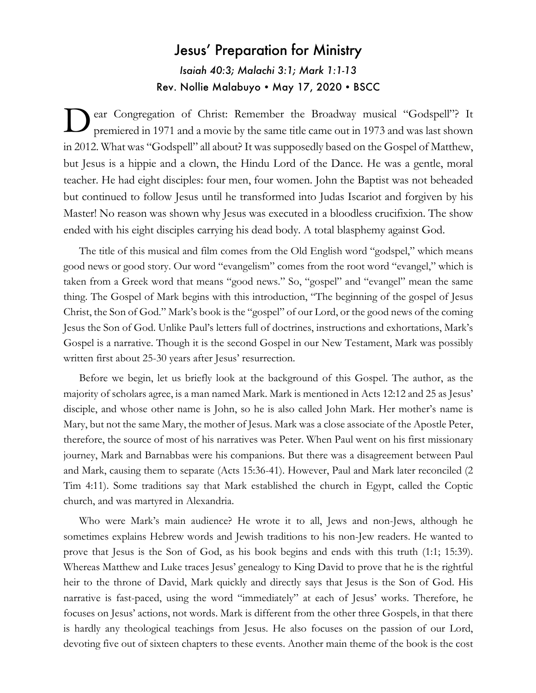## Jesus' Preparation for Ministry *Isaiah 40:3; Malachi 3:1; Mark 1:1-13* Rev. Nollie Malabuyo • May 17, 2020 • BSCC

ear Congregation of Christ: Remember the Broadway musical "Godspell"? It premiered in 1971 and a movie by the same title came out in 1973 and was last shown in 2012. What was "Godspell" all about? It was supposedly based on the Gospel of Matthew, but Jesus is a hippie and a clown, the Hindu Lord of the Dance. He was a gentle, moral teacher. He had eight disciples: four men, four women. John the Baptist was not beheaded but continued to follow Jesus until he transformed into Judas Iscariot and forgiven by his Master! No reason was shown why Jesus was executed in a bloodless crucifixion. The show ended with his eight disciples carrying his dead body. A total blasphemy against God. D

The title of this musical and film comes from the Old English word "godspel," which means good news or good story. Our word "evangelism" comes from the root word "evangel," which is taken from a Greek word that means "good news." So, "gospel" and "evangel" mean the same thing. The Gospel of Mark begins with this introduction, "The beginning of the gospel of Jesus Christ, the Son of God." Mark's book is the "gospel" of our Lord, or the good news of the coming Jesus the Son of God. Unlike Paul's letters full of doctrines, instructions and exhortations, Mark's Gospel is a narrative. Though it is the second Gospel in our New Testament, Mark was possibly written first about 25-30 years after Jesus' resurrection.

Before we begin, let us briefly look at the background of this Gospel. The author, as the majority of scholars agree, is a man named Mark. Mark is mentioned in Acts 12:12 and 25 as Jesus' disciple, and whose other name is John, so he is also called John Mark. Her mother's name is Mary, but not the same Mary, the mother of Jesus. Mark was a close associate of the Apostle Peter, therefore, the source of most of his narratives was Peter. When Paul went on his first missionary journey, Mark and Barnabbas were his companions. But there was a disagreement between Paul and Mark, causing them to separate (Acts 15:36-41). However, Paul and Mark later reconciled (2 Tim 4:11). Some traditions say that Mark established the church in Egypt, called the Coptic church, and was martyred in Alexandria.

Who were Mark's main audience? He wrote it to all, Jews and non-Jews, although he sometimes explains Hebrew words and Jewish traditions to his non-Jew readers. He wanted to prove that Jesus is the Son of God, as his book begins and ends with this truth (1:1; 15:39). Whereas Matthew and Luke traces Jesus' genealogy to King David to prove that he is the rightful heir to the throne of David, Mark quickly and directly says that Jesus is the Son of God. His narrative is fast-paced, using the word "immediately" at each of Jesus' works. Therefore, he focuses on Jesus' actions, not words. Mark is different from the other three Gospels, in that there is hardly any theological teachings from Jesus. He also focuses on the passion of our Lord, devoting five out of sixteen chapters to these events. Another main theme of the book is the cost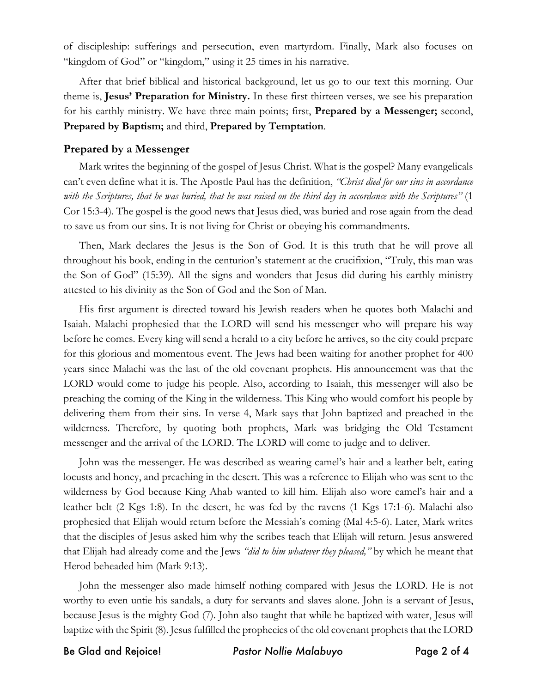of discipleship: sufferings and persecution, even martyrdom. Finally, Mark also focuses on "kingdom of God" or "kingdom," using it 25 times in his narrative.

After that brief biblical and historical background, let us go to our text this morning. Our theme is, **Jesus' Preparation for Ministry.** In these first thirteen verses, we see his preparation for his earthly ministry. We have three main points; first, **Prepared by a Messenger;** second, **Prepared by Baptism;** and third, **Prepared by Temptation**.

## **Prepared by a Messenger**

Mark writes the beginning of the gospel of Jesus Christ. What is the gospel? Many evangelicals can't even define what it is. The Apostle Paul has the definition, *"Christ died for our sins in accordance with the Scriptures, that he was buried, that he was raised on the third day in accordance with the Scriptures"* (1 Cor 15:3-4). The gospel is the good news that Jesus died, was buried and rose again from the dead to save us from our sins. It is not living for Christ or obeying his commandments.

Then, Mark declares the Jesus is the Son of God. It is this truth that he will prove all throughout his book, ending in the centurion's statement at the crucifixion, "Truly, this man was the Son of God" (15:39). All the signs and wonders that Jesus did during his earthly ministry attested to his divinity as the Son of God and the Son of Man.

His first argument is directed toward his Jewish readers when he quotes both Malachi and Isaiah. Malachi prophesied that the LORD will send his messenger who will prepare his way before he comes. Every king will send a herald to a city before he arrives, so the city could prepare for this glorious and momentous event. The Jews had been waiting for another prophet for 400 years since Malachi was the last of the old covenant prophets. His announcement was that the LORD would come to judge his people. Also, according to Isaiah, this messenger will also be preaching the coming of the King in the wilderness. This King who would comfort his people by delivering them from their sins. In verse 4, Mark says that John baptized and preached in the wilderness. Therefore, by quoting both prophets, Mark was bridging the Old Testament messenger and the arrival of the LORD. The LORD will come to judge and to deliver.

John was the messenger. He was described as wearing camel's hair and a leather belt, eating locusts and honey, and preaching in the desert. This was a reference to Elijah who was sent to the wilderness by God because King Ahab wanted to kill him. Elijah also wore camel's hair and a leather belt (2 Kgs 1:8). In the desert, he was fed by the ravens (1 Kgs 17:1-6). Malachi also prophesied that Elijah would return before the Messiah's coming (Mal 4:5-6). Later, Mark writes that the disciples of Jesus asked him why the scribes teach that Elijah will return. Jesus answered that Elijah had already come and the Jews *"did to him whatever they pleased,"* by which he meant that Herod beheaded him (Mark 9:13).

John the messenger also made himself nothing compared with Jesus the LORD. He is not worthy to even untie his sandals, a duty for servants and slaves alone. John is a servant of Jesus, because Jesus is the mighty God (7). John also taught that while he baptized with water, Jesus will baptize with the Spirit (8). Jesus fulfilled the prophecies of the old covenant prophets that the LORD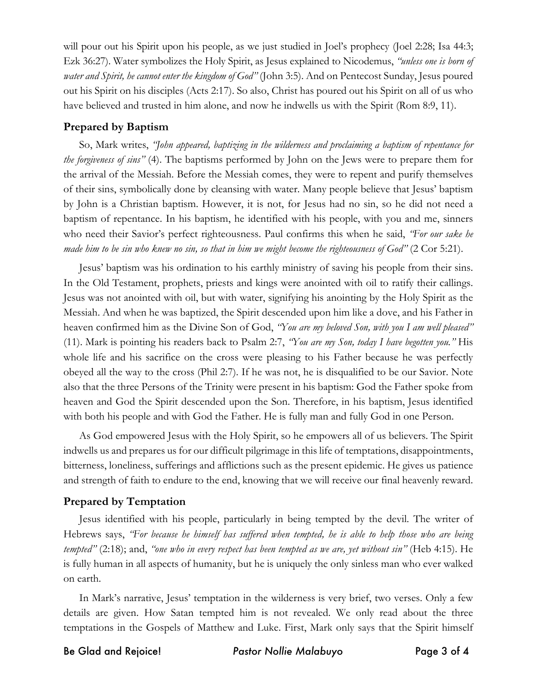will pour out his Spirit upon his people, as we just studied in Joel's prophecy (Joel 2:28; Isa 44:3; Ezk 36:27). Water symbolizes the Holy Spirit, as Jesus explained to Nicodemus, *"unless one is born of water and Spirit, he cannot enter the kingdom of God"* (John 3:5). And on Pentecost Sunday, Jesus poured out his Spirit on his disciples (Acts 2:17). So also, Christ has poured out his Spirit on all of us who have believed and trusted in him alone, and now he indwells us with the Spirit (Rom 8:9, 11).

## **Prepared by Baptism**

So, Mark writes, *"John appeared, baptizing in the wilderness and proclaiming a baptism of repentance for the forgiveness of sins"* (4). The baptisms performed by John on the Jews were to prepare them for the arrival of the Messiah. Before the Messiah comes, they were to repent and purify themselves of their sins, symbolically done by cleansing with water. Many people believe that Jesus' baptism by John is a Christian baptism. However, it is not, for Jesus had no sin, so he did not need a baptism of repentance. In his baptism, he identified with his people, with you and me, sinners who need their Savior's perfect righteousness. Paul confirms this when he said, *"For our sake he made him to be sin who knew no sin, so that in him we might become the righteousness of God"* (2 Cor 5:21).

Jesus' baptism was his ordination to his earthly ministry of saving his people from their sins. In the Old Testament, prophets, priests and kings were anointed with oil to ratify their callings. Jesus was not anointed with oil, but with water, signifying his anointing by the Holy Spirit as the Messiah. And when he was baptized, the Spirit descended upon him like a dove, and his Father in heaven confirmed him as the Divine Son of God, *"You are my beloved Son, with you I am well pleased"* (11). Mark is pointing his readers back to Psalm 2:7, *"You are my Son, today I have begotten you."* His whole life and his sacrifice on the cross were pleasing to his Father because he was perfectly obeyed all the way to the cross (Phil 2:7). If he was not, he is disqualified to be our Savior. Note also that the three Persons of the Trinity were present in his baptism: God the Father spoke from heaven and God the Spirit descended upon the Son. Therefore, in his baptism, Jesus identified with both his people and with God the Father. He is fully man and fully God in one Person.

As God empowered Jesus with the Holy Spirit, so he empowers all of us believers. The Spirit indwells us and prepares us for our difficult pilgrimage in this life of temptations, disappointments, bitterness, loneliness, sufferings and afflictions such as the present epidemic. He gives us patience and strength of faith to endure to the end, knowing that we will receive our final heavenly reward.

## **Prepared by Temptation**

Jesus identified with his people, particularly in being tempted by the devil. The writer of Hebrews says, *"For because he himself has suffered when tempted, he is able to help those who are being tempted"* (2:18); and, *"one who in every respect has been tempted as we are, yet without sin"* (Heb 4:15). He is fully human in all aspects of humanity, but he is uniquely the only sinless man who ever walked on earth.

In Mark's narrative, Jesus' temptation in the wilderness is very brief, two verses. Only a few details are given. How Satan tempted him is not revealed. We only read about the three temptations in the Gospels of Matthew and Luke. First, Mark only says that the Spirit himself